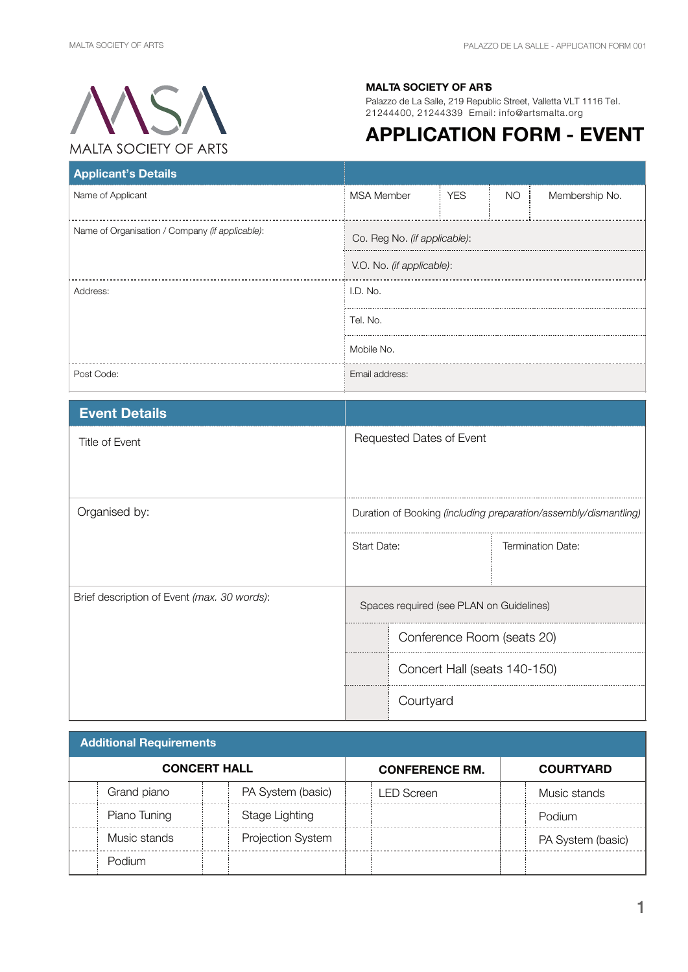

## **MALTA SOCIETY OF ARTS**

Palazzo de La Salle, 219 Republic Street, Valletta VLT 1116 Tel. 21244400, 21244339 Email: info@artsmalta.org

## **APPLICATION FORM - EVENT**

| <b>Applicant's Details</b>                      |                              |            |     |                |  |
|-------------------------------------------------|------------------------------|------------|-----|----------------|--|
| Name of Applicant                               | <b>MSA Member</b>            | <b>YES</b> | NO. | Membership No. |  |
| Name of Organisation / Company (if applicable): | Co. Reg No. (if applicable): |            |     |                |  |
|                                                 | V.O. No. (if applicable):    |            |     |                |  |
| Address:                                        | I.D. No.                     |            |     |                |  |
|                                                 | Tel. No.                     |            |     |                |  |
|                                                 | Mobile No.                   |            |     |                |  |
| Post Code:                                      | Email address:               |            |     |                |  |

| <b>Event Details</b>                        |                                                                  |                          |  |
|---------------------------------------------|------------------------------------------------------------------|--------------------------|--|
| Title of Event                              | Requested Dates of Event                                         |                          |  |
| Organised by:                               | Duration of Booking (including preparation/assembly/dismantling) |                          |  |
|                                             | <b>Start Date:</b>                                               | <b>Termination Date:</b> |  |
| Brief description of Event (max. 30 words): | Spaces required (see PLAN on Guidelines)                         |                          |  |
|                                             | Conference Room (seats 20)                                       |                          |  |
|                                             | Concert Hall (seats 140-150)                                     |                          |  |
|                                             | Courtyard                                                        |                          |  |

| <b>Additional Requirements</b> |              |                       |                   |                  |            |  |                   |
|--------------------------------|--------------|-----------------------|-------------------|------------------|------------|--|-------------------|
| <b>CONCERT HALL</b>            |              | <b>CONFERENCE RM.</b> |                   | <b>COURTYARD</b> |            |  |                   |
|                                | Grand piano  |                       | PA System (basic) |                  | _ED Screen |  | Music stands      |
|                                | Piano Tuning |                       | Stage Lighting    |                  |            |  | Podium            |
|                                | Music stands |                       | Projection System |                  |            |  | PA System (basic) |
|                                | Podium       |                       |                   |                  |            |  |                   |